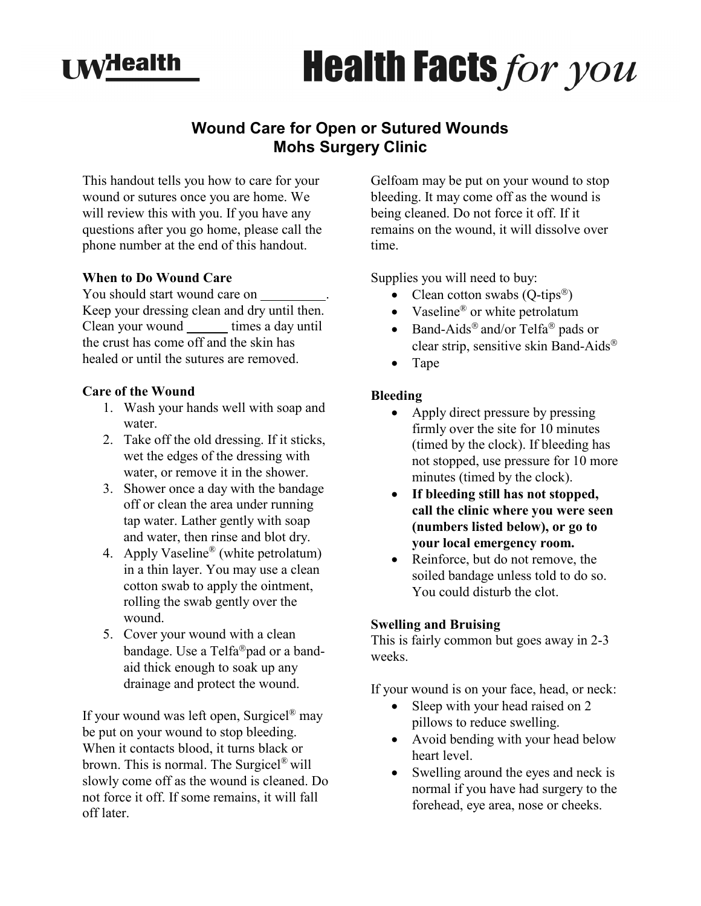

# **Health Facts for you**

# **Wound Care for Open or Sutured Wounds Mohs Surgery Clinic**

This handout tells you how to care for your wound or sutures once you are home. We will review this with you. If you have any questions after you go home, please call the phone number at the end of this handout.

#### **When to Do Wound Care**

You should start wound care on \_\_\_\_\_\_\_\_\_. Keep your dressing clean and dry until then. Clean your wound \_\_\_\_\_\_\_ times a day until the crust has come off and the skin has healed or until the sutures are removed.

#### **Care of the Wound**

- 1. Wash your hands well with soap and water.
- 2. Take off the old dressing. If it sticks, wet the edges of the dressing with water, or remove it in the shower.
- 3. Shower once a day with the bandage off or clean the area under running tap water. Lather gently with soap and water, then rinse and blot dry.
- 4. Apply Vaseline® (white petrolatum) in a thin layer. You may use a clean cotton swab to apply the ointment, rolling the swab gently over the wound.
- 5. Cover your wound with a clean bandage. Use a Telfa<sup>®</sup>pad or a bandaid thick enough to soak up any drainage and protect the wound.

If your wound was left open, Surgicel<sup>®</sup> may be put on your wound to stop bleeding. When it contacts blood, it turns black or brown. This is normal. The Surgicel® will slowly come off as the wound is cleaned. Do not force it off. If some remains, it will fall off later.

Gelfoam may be put on your wound to stop bleeding. It may come off as the wound is being cleaned. Do not force it off. If it remains on the wound, it will dissolve over time.

Supplies you will need to buy:

- Clean cotton swabs (Q-tips<sup>®</sup>)
- Vaseline® or white petrolatum
- Band-Aids<sup>®</sup> and/or Telfa<sup>®</sup> pads or clear strip, sensitive skin Band-Aids
- Tape

#### **Bleeding**

- Apply direct pressure by pressing firmly over the site for 10 minutes (timed by the clock). If bleeding has not stopped, use pressure for 10 more minutes (timed by the clock).
- **If bleeding still has not stopped, call the clinic where you were seen (numbers listed below), or go to your local emergency room.**
- Reinforce, but do not remove, the soiled bandage unless told to do so. You could disturb the clot.

#### **Swelling and Bruising**

This is fairly common but goes away in 2-3 weeks.

If your wound is on your face, head, or neck:

- Sleep with your head raised on 2 pillows to reduce swelling.
- Avoid bending with your head below heart level.
- Swelling around the eyes and neck is normal if you have had surgery to the forehead, eye area, nose or cheeks.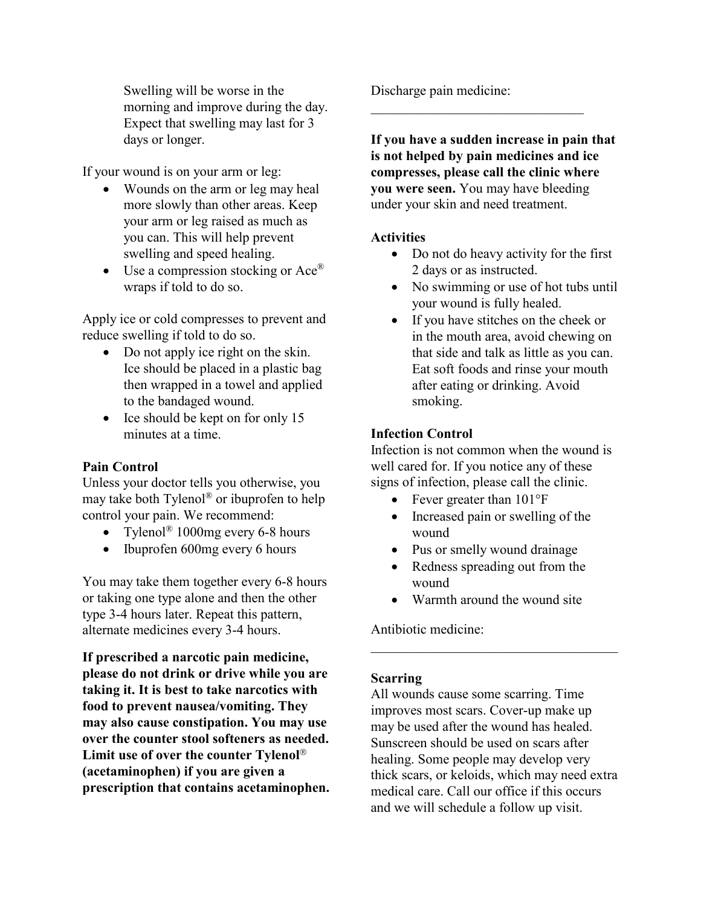Swelling will be worse in the morning and improve during the day. Expect that swelling may last for 3 days or longer.

If your wound is on your arm or leg:

- Wounds on the arm or leg may heal more slowly than other areas. Keep your arm or leg raised as much as you can. This will help prevent swelling and speed healing.
- Use a compression stocking or  $Ace^{\otimes}$ wraps if told to do so.

Apply ice or cold compresses to prevent and reduce swelling if told to do so.

- Do not apply ice right on the skin. Ice should be placed in a plastic bag then wrapped in a towel and applied to the bandaged wound.
- Ice should be kept on for only 15 minutes at a time.

#### **Pain Control**

Unless your doctor tells you otherwise, you may take both Tylenol® or ibuprofen to help control your pain. We recommend:

- Tylenol<sup>®</sup> 1000mg every 6-8 hours
- Ibuprofen 600mg every 6 hours

You may take them together every 6-8 hours or taking one type alone and then the other type 3-4 hours later. Repeat this pattern, alternate medicines every 3-4 hours.

**If prescribed a narcotic pain medicine, please do not drink or drive while you are taking it. It is best to take narcotics with food to prevent nausea/vomiting. They may also cause constipation. You may use over the counter stool softeners as needed. Limit use of over the counter Tylenol (acetaminophen) if you are given a prescription that contains acetaminophen.** Discharge pain medicine:

**If you have a sudden increase in pain that is not helped by pain medicines and ice compresses, please call the clinic where you were seen.** You may have bleeding under your skin and need treatment.

 $\mathcal{L}_\mathcal{L}$ 

#### **Activities**

- Do not do heavy activity for the first 2 days or as instructed.
- No swimming or use of hot tubs until your wound is fully healed.
- If you have stitches on the cheek or in the mouth area, avoid chewing on that side and talk as little as you can. Eat soft foods and rinse your mouth after eating or drinking. Avoid smoking.

#### **Infection Control**

Infection is not common when the wound is well cared for. If you notice any of these signs of infection, please call the clinic.

- Fever greater than  $101^{\circ}F$
- Increased pain or swelling of the wound
- Pus or smelly wound drainage
- Redness spreading out from the wound
- Warmth around the wound site

Antibiotic medicine:

#### **Scarring**

All wounds cause some scarring. Time improves most scars. Cover-up make up may be used after the wound has healed. Sunscreen should be used on scars after healing. Some people may develop very thick scars, or keloids, which may need extra medical care. Call our office if this occurs and we will schedule a follow up visit.